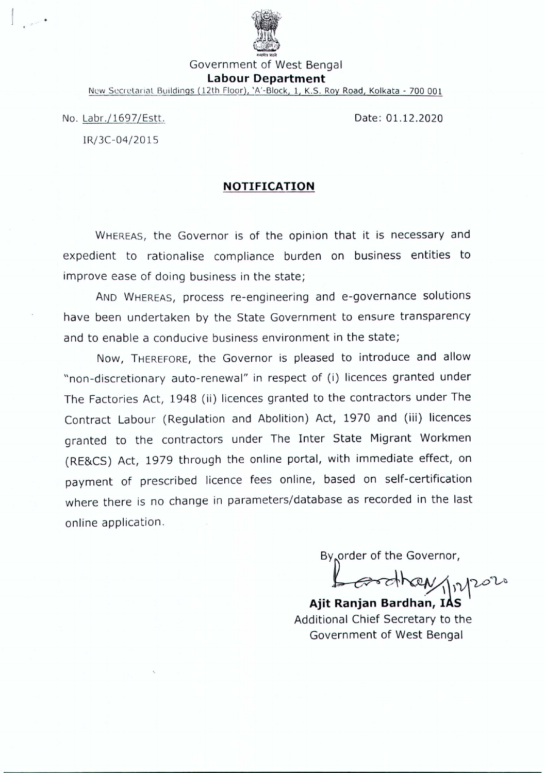

Government of West Bengal

# **Labour Department**

New Secretariat Buildings (12th Floor), 'A'-Block, 1, K.S. Roy Road, Kolkata - 700 001

No. Labr./1697/Estt,

IRj3C-04/2015

Date: 01.12.2020

# **NOTIFICATION**

WHEREAS, the Governor is of the opinion that it is necessary and expedient to rationalise compliance burden on business entities to improve ease of doing business in the state;

AND WHEREAS, process re-engineering and e-governance solutions have been undertaken by the State Government to ensure transparency and to enable a conducive business environment in the state;

Now, THEREFORE, the Governor is pleased to introduce and allow "non-discretionary auto-renewal" in respect of (i) licences granted under The Factories Act, 1948 (ii) licences granted to the contractors under The Contract Labour (Regulation and Abolition) Act, 1970 and (iii) licences granted to the contractors under The Inter State Migrant Workmen (RE&CS) Act, 1979 through the online portal, with immediate effect, on payment of prescribed licence fees online, based on self-certification where there is no change in parameters/database as recorded in the last online application.

By order of the Governor,

 $-$  and heavy  $\eta_{\nu}$ 

**Ajit Ranjan Bardhan, IAS** Additional Chief Secretary to the Government of West Bengal